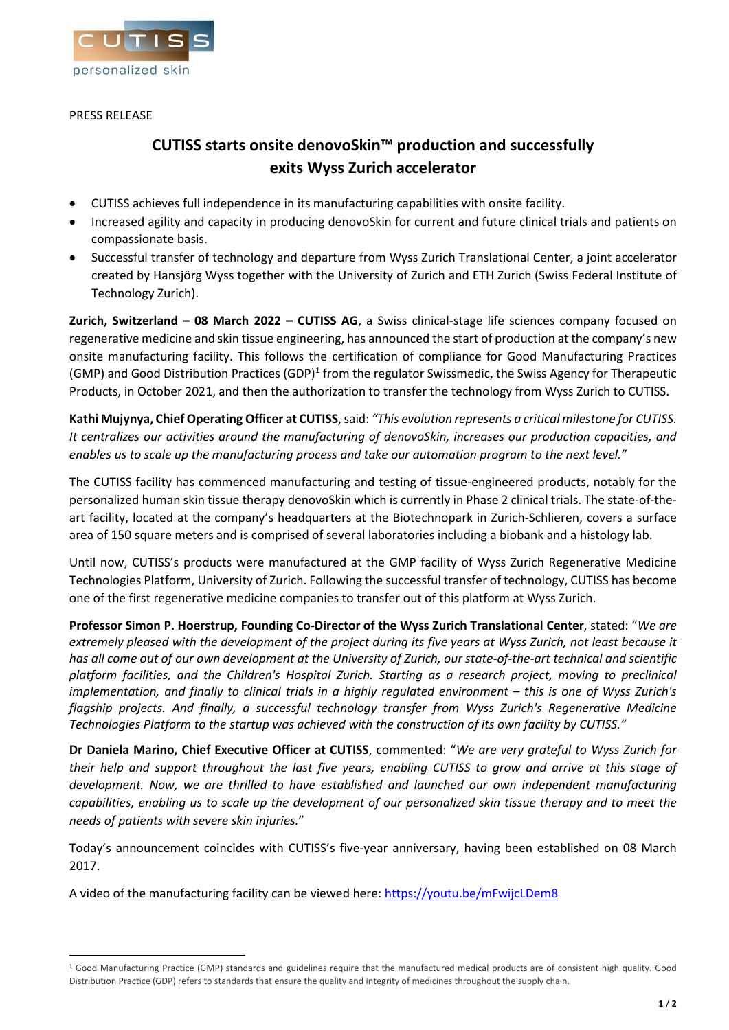

# PRESS RELEASE

# **CUTISS starts onsite denovoSkin™ production and successfully exits Wyss Zurich accelerator**

- CUTISS achieves full independence in its manufacturing capabilities with onsite facility.
- Increased agility and capacity in producing denovoSkin for current and future clinical trials and patients on compassionate basis.
- Successful transfer of technology and departure from Wyss Zurich Translational Center, a joint accelerator created by Hansjörg Wyss together with the University of Zurich and ETH Zurich (Swiss Federal Institute of Technology Zurich).

**Zurich, Switzerland – 08 March 2022 – CUTISS AG**, a Swiss clinical-stage life sciences company focused on regenerative medicine and skin tissue engineering, has announced the start of production at the company's new onsite manufacturing facility. This follows the certification of compliance for Good Manufacturing Practices (GMP) and Good Distribution Practices (GDP)<sup>[1](#page-0-0)</sup> from the regulator Swissmedic, the Swiss Agency for Therapeutic Products, in October 2021, and then the authorization to transfer the technology from Wyss Zurich to CUTISS.

**Kathi Mujynya, Chief Operating Officer at CUTISS**, said: *"This evolution represents a critical milestone for CUTISS. It centralizes our activities around the manufacturing of denovoSkin, increases our production capacities, and enables us to scale up the manufacturing process and take our automation program to the next level."*

The CUTISS facility has commenced manufacturing and testing of tissue-engineered products, notably for the personalized human skin tissue therapy denovoSkin which is currently in Phase 2 clinical trials. The state-of-theart facility, located at the company's headquarters at the Biotechnopark in Zurich-Schlieren, covers a surface area of 150 square meters and is comprised of several laboratories including a biobank and a histology lab.

Until now, CUTISS's products were manufactured at the GMP facility of Wyss Zurich Regenerative Medicine Technologies Platform, University of Zurich. Following the successful transfer of technology, CUTISS has become one of the first regenerative medicine companies to transfer out of this platform at Wyss Zurich.

**Professor Simon P. Hoerstrup, Founding Co-Director of the Wyss Zurich Translational Center**, stated: "*We are extremely pleased with the development of the project during its five years at Wyss Zurich, not least because it has all come out of our own development at the University of Zurich, our state-of-the-art technical and scientific platform facilities, and the Children's Hospital Zurich. Starting as a research project, moving to preclinical implementation, and finally to clinical trials in a highly regulated environment – this is one of Wyss Zurich's flagship projects. And finally, a successful technology transfer from Wyss Zurich's Regenerative Medicine Technologies Platform to the startup was achieved with the construction of its own facility by CUTISS."*

**Dr Daniela Marino, Chief Executive Officer at CUTISS**, commented: "*We are very grateful to Wyss Zurich for their help and support throughout the last five years, enabling CUTISS to grow and arrive at this stage of development. Now, we are thrilled to have established and launched our own independent manufacturing capabilities, enabling us to scale up the development of our personalized skin tissue therapy and to meet the needs of patients with severe skin injuries.*"

Today's announcement coincides with CUTISS's five-year anniversary, having been established on 08 March 2017.

A video of the manufacturing facility can be viewed here: <https://youtu.be/mFwijcLDem8>

<span id="page-0-0"></span><sup>1</sup> Good Manufacturing Practice (GMP) standards and guidelines require that the manufactured medical products are of consistent high quality. Good Distribution Practice (GDP) refers to standards that ensure the quality and integrity of medicines throughout the supply chain.